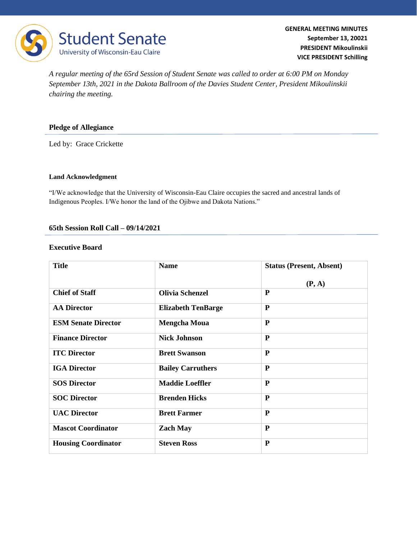

*A regular meeting of the 65rd Session of Student Senate was called to order at 6:00 PM on Monday September 13th, 2021 in the Dakota Ballroom of the Davies Student Center, President Mikoulinskii chairing the meeting.* 

### **Pledge of Allegiance**

Led by: Grace Crickette

#### **Land Acknowledgment**

"I/We acknowledge that the University of Wisconsin-Eau Claire occupies the sacred and ancestral lands of Indigenous Peoples. I/We honor the land of the Ojibwe and Dakota Nations."

#### **65th Session Roll Call – 09/14/2021**

#### **Executive Board**

| <b>Title</b>               | <b>Name</b>               | <b>Status (Present, Absent)</b> |
|----------------------------|---------------------------|---------------------------------|
|                            |                           | (P, A)                          |
| <b>Chief of Staff</b>      | <b>Olivia Schenzel</b>    | P                               |
| <b>AA Director</b>         | <b>Elizabeth TenBarge</b> | $\mathbf{P}$                    |
| <b>ESM Senate Director</b> | <b>Mengcha Moua</b>       | $\mathbf{P}$                    |
| <b>Finance Director</b>    | <b>Nick Johnson</b>       | P                               |
| <b>ITC Director</b>        | <b>Brett Swanson</b>      | P                               |
| <b>IGA Director</b>        | <b>Bailey Carruthers</b>  | P                               |
| <b>SOS Director</b>        | <b>Maddie Loeffler</b>    | P                               |
| <b>SOC Director</b>        | <b>Brenden Hicks</b>      | $\mathbf{P}$                    |
| <b>UAC Director</b>        | <b>Brett Farmer</b>       | $\mathbf{P}$                    |
| <b>Mascot Coordinator</b>  | <b>Zach May</b>           | P                               |
| <b>Housing Coordinator</b> | <b>Steven Ross</b>        | $\mathbf{P}$                    |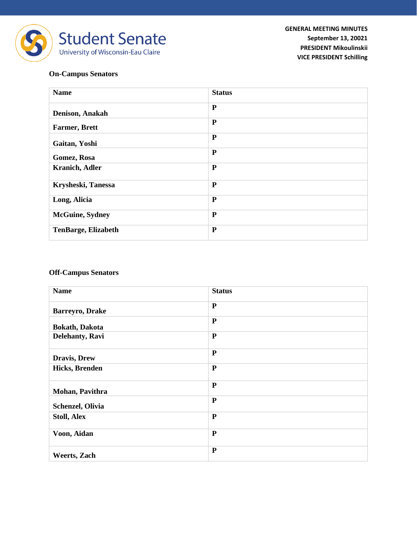

# **On-Campus Senators**

| <b>Name</b>                | <b>Status</b> |
|----------------------------|---------------|
| Denison, Anakah            | ${\bf P}$     |
| <b>Farmer, Brett</b>       | $\mathbf{P}$  |
| Gaitan, Yoshi              | P             |
| Gomez, Rosa                | $\mathbf{P}$  |
| <b>Kranich, Adler</b>      | $\mathbf{P}$  |
| Krysheski, Tanessa         | $\mathbf{P}$  |
| Long, Alicia               | ${\bf P}$     |
| <b>McGuine, Sydney</b>     | ${\bf P}$     |
| <b>TenBarge, Elizabeth</b> | $\mathbf{P}$  |

## **Off-Campus Senators**

| <b>Name</b>            | <b>Status</b> |
|------------------------|---------------|
| Barreyro, Drake        | $\mathbf{P}$  |
| <b>Bokath</b> , Dakota | $\mathbf{P}$  |
| Delehanty, Ravi        | $\mathbf{P}$  |
| Dravis, Drew           | $\mathbf{P}$  |
| Hicks, Brenden         | $\mathbf{P}$  |
| Mohan, Pavithra        | $\mathbf{P}$  |
| Schenzel, Olivia       | $\mathbf{P}$  |
| <b>Stoll, Alex</b>     | $\mathbf P$   |
| Voon, Aidan            | $\mathbf{P}$  |
| <b>Weerts</b> , Zach   | $\mathbf{P}$  |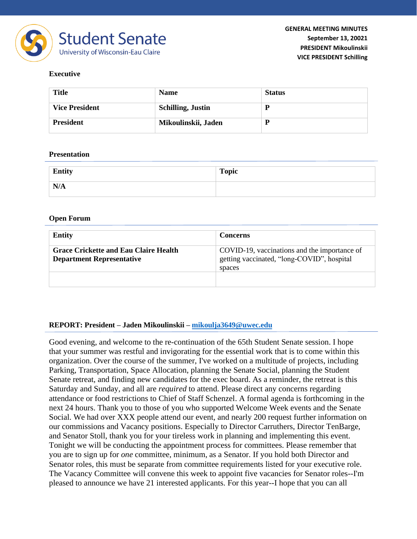

## **Executive**

| <b>Title</b>          | <b>Name</b>              | <b>Status</b> |
|-----------------------|--------------------------|---------------|
| <b>Vice President</b> | <b>Schilling, Justin</b> | D             |
| <b>President</b>      | Mikoulinskii, Jaden      | D             |

#### **Presentation**

| Entity | <b>Topic</b> |
|--------|--------------|
| N/A    |              |

#### **Open Forum**

| <b>Entity</b>                                                                    | <b>Concerns</b>                                                                                      |  |
|----------------------------------------------------------------------------------|------------------------------------------------------------------------------------------------------|--|
| <b>Grace Crickette and Eau Claire Health</b><br><b>Department Representative</b> | COVID-19, vaccinations and the importance of<br>getting vaccinated, "long-COVID", hospital<br>spaces |  |
|                                                                                  |                                                                                                      |  |

### **REPORT: President – Jaden Mikoulinskii – [mikoulja3649@uwec.edu](mailto:johnsoch0968@uwec.edu)**

Good evening, and welcome to the re-continuation of the 65th Student Senate session. I hope that your summer was restful and invigorating for the essential work that is to come within this organization. Over the course of the summer, I've worked on a multitude of projects, including Parking, Transportation, Space Allocation, planning the Senate Social, planning the Student Senate retreat, and finding new candidates for the exec board. As a reminder, the retreat is this Saturday and Sunday, and all are *required* to attend. Please direct any concerns regarding attendance or food restrictions to Chief of Staff Schenzel. A formal agenda is forthcoming in the next 24 hours. Thank you to those of you who supported Welcome Week events and the Senate Social. We had over XXX people attend our event, and nearly 200 request further information on our commissions and Vacancy positions. Especially to Director Carruthers, Director TenBarge, and Senator Stoll, thank you for your tireless work in planning and implementing this event. Tonight we will be conducting the appointment process for committees. Please remember that you are to sign up for *one* committee, minimum, as a Senator. If you hold both Director and Senator roles, this must be separate from committee requirements listed for your executive role. The Vacancy Committee will convene this week to appoint five vacancies for Senator roles--I'm pleased to announce we have 21 interested applicants. For this year--I hope that you can all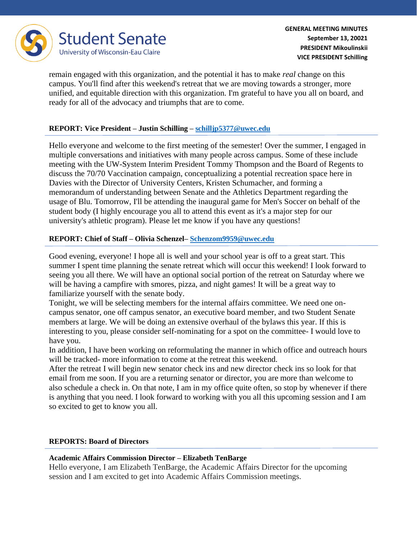

remain engaged with this organization, and the potential it has to make *real* change on this campus. You'll find after this weekend's retreat that we are moving towards a stronger, more unified, and equitable direction with this organization. I'm grateful to have you all on board, and ready for all of the advocacy and triumphs that are to come.

# **REPORT: Vice President – Justin Schilling – [schilljp5377@uwec.edu](mailto:schilljp5377@uwec.edu)**

Hello everyone and welcome to the first meeting of the semester! Over the summer, I engaged in multiple conversations and initiatives with many people across campus. Some of these include meeting with the UW-System Interim President Tommy Thompson and the Board of Regents to discuss the 70/70 Vaccination campaign, conceptualizing a potential recreation space here in Davies with the Director of University Centers, Kristen Schumacher, and forming a memorandum of understanding between Senate and the Athletics Department regarding the usage of Blu. Tomorrow, I'll be attending the inaugural game for Men's Soccer on behalf of the student body (I highly encourage you all to attend this event as it's a major step for our university's athletic program). Please let me know if you have any questions!

# **REPORT: Chief of Staff – Olivia Schenzel– [Schenzom9959@uwec.edu](mailto:Schenzom9959@uwec.edu)**

Good evening, everyone! I hope all is well and your school year is off to a great start. This summer I spent time planning the senate retreat which will occur this weekend! I look forward to seeing you all there. We will have an optional social portion of the retreat on Saturday where we will be having a campfire with smores, pizza, and night games! It will be a great way to familiarize yourself with the senate body.

Tonight, we will be selecting members for the internal affairs committee. We need one oncampus senator, one off campus senator, an executive board member, and two Student Senate members at large. We will be doing an extensive overhaul of the bylaws this year. If this is interesting to you, please consider self-nominating for a spot on the committee- I would love to have you.

In addition, I have been working on reformulating the manner in which office and outreach hours will be tracked- more information to come at the retreat this weekend.

After the retreat I will begin new senator check ins and new director check ins so look for that email from me soon. If you are a returning senator or director, you are more than welcome to also schedule a check in. On that note, I am in my office quite often, so stop by whenever if there is anything that you need. I look forward to working with you all this upcoming session and I am so excited to get to know you all.

# **REPORTS: Board of Directors**

# **Academic Affairs Commission Director – Elizabeth TenBarge**

Hello everyone, I am Elizabeth TenBarge, the Academic Affairs Director for the upcoming session and I am excited to get into Academic Affairs Commission meetings.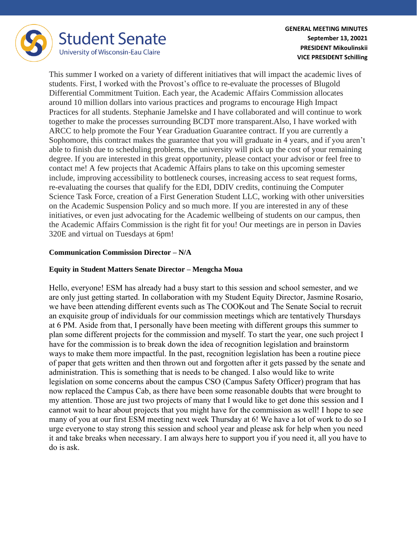

This summer I worked on a variety of different initiatives that will impact the academic lives of students. First, I worked with the Provost's office to re-evaluate the processes of Blugold Differential Commitment Tuition. Each year, the Academic Affairs Commission allocates around 10 million dollars into various practices and programs to encourage High Impact Practices for all students. Stephanie Jamelske and I have collaborated and will continue to work together to make the processes surrounding BCDT more transparent.Also, I have worked with ARCC to help promote the Four Year Graduation Guarantee contract. If you are currently a Sophomore, this contract makes the guarantee that you will graduate in 4 years, and if you aren't able to finish due to scheduling problems, the university will pick up the cost of your remaining degree. If you are interested in this great opportunity, please contact your advisor or feel free to contact me! A few projects that Academic Affairs plans to take on this upcoming semester include, improving accessibility to bottleneck courses, increasing access to seat request forms, re-evaluating the courses that qualify for the EDI, DDIV credits, continuing the Computer Science Task Force, creation of a First Generation Student LLC, working with other universities on the Academic Suspension Policy and so much more. If you are interested in any of these initiatives, or even just advocating for the Academic wellbeing of students on our campus, then the Academic Affairs Commission is the right fit for you! Our meetings are in person in Davies 320E and virtual on Tuesdays at 6pm!

## **Communication Commission Director – N/A**

## **Equity in Student Matters Senate Director – Mengcha Moua**

Hello, everyone! ESM has already had a busy start to this session and school semester, and we are only just getting started. In collaboration with my Student Equity Director, Jasmine Rosario, we have been attending different events such as The COOKout and The Senate Social to recruit an exquisite group of individuals for our commission meetings which are tentatively Thursdays at 6 PM. Aside from that, I personally have been meeting with different groups this summer to plan some different projects for the commission and myself. To start the year, one such project I have for the commission is to break down the idea of recognition legislation and brainstorm ways to make them more impactful. In the past, recognition legislation has been a routine piece of paper that gets written and then thrown out and forgotten after it gets passed by the senate and administration. This is something that is needs to be changed. I also would like to write legislation on some concerns about the campus CSO (Campus Safety Officer) program that has now replaced the Campus Cab, as there have been some reasonable doubts that were brought to my attention. Those are just two projects of many that I would like to get done this session and I cannot wait to hear about projects that you might have for the commission as well! I hope to see many of you at our first ESM meeting next week Thursday at 6! We have a lot of work to do so I urge everyone to stay strong this session and school year and please ask for help when you need it and take breaks when necessary. I am always here to support you if you need it, all you have to do is ask.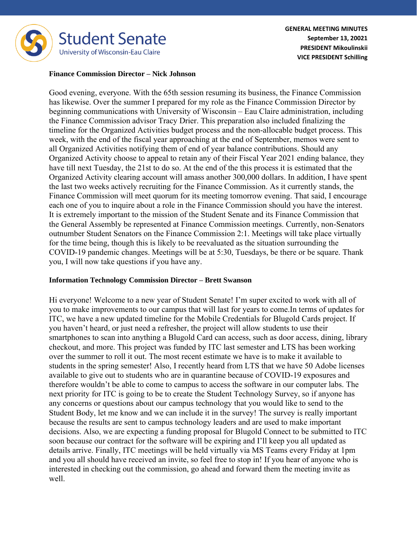

#### **Finance Commission Director – Nick Johnson**

Good evening, everyone. With the 65th session resuming its business, the Finance Commission has likewise. Over the summer I prepared for my role as the Finance Commission Director by beginning communications with University of Wisconsin – Eau Claire administration, including the Finance Commission advisor Tracy Drier. This preparation also included finalizing the timeline for the Organized Activities budget process and the non-allocable budget process. This week, with the end of the fiscal year approaching at the end of September, memos were sent to all Organized Activities notifying them of end of year balance contributions. Should any Organized Activity choose to appeal to retain any of their Fiscal Year 2021 ending balance, they have till next Tuesday, the 21st to do so. At the end of the this process it is estimated that the Organized Activity clearing account will amass another 300,000 dollars. In addition, I have spent the last two weeks actively recruiting for the Finance Commission. As it currently stands, the Finance Commission will meet quorum for its meeting tomorrow evening. That said, I encourage each one of you to inquire about a role in the Finance Commission should you have the interest. It is extremely important to the mission of the Student Senate and its Finance Commission that the General Assembly be represented at Finance Commission meetings. Currently, non-Senators outnumber Student Senators on the Finance Commission 2:1. Meetings will take place virtually for the time being, though this is likely to be reevaluated as the situation surrounding the COVID-19 pandemic changes. Meetings will be at 5:30, Tuesdays, be there or be square. Thank you, I will now take questions if you have any.

### **Information Technology Commission Director – Brett Swanson**

Hi everyone! Welcome to a new year of Student Senate! I'm super excited to work with all of you to make improvements to our campus that will last for years to come.In terms of updates for ITC, we have a new updated timeline for the Mobile Credentials for Blugold Cards project. If you haven't heard, or just need a refresher, the project will allow students to use their smartphones to scan into anything a Blugold Card can access, such as door access, dining, library checkout, and more. This project was funded by ITC last semester and LTS has been working over the summer to roll it out. The most recent estimate we have is to make it available to students in the spring semester! Also, I recently heard from LTS that we have 50 Adobe licenses available to give out to students who are in quarantine because of COVID-19 exposures and therefore wouldn't be able to come to campus to access the software in our computer labs. The next priority for ITC is going to be to create the Student Technology Survey, so if anyone has any concerns or questions about our campus technology that you would like to send to the Student Body, let me know and we can include it in the survey! The survey is really important because the results are sent to campus technology leaders and are used to make important decisions. Also, we are expecting a funding proposal for Blugold Connect to be submitted to ITC soon because our contract for the software will be expiring and I'll keep you all updated as details arrive. Finally, ITC meetings will be held virtually via MS Teams every Friday at 1pm and you all should have received an invite, so feel free to stop in! If you hear of anyone who is interested in checking out the commission, go ahead and forward them the meeting invite as well.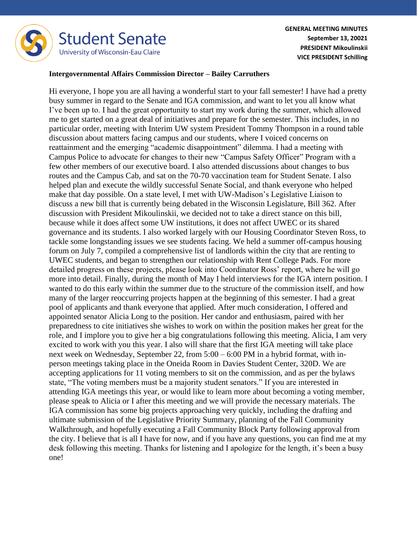

#### **Intergovernmental Affairs Commission Director – Bailey Carruthers**

Hi everyone, I hope you are all having a wonderful start to your fall semester! I have had a pretty busy summer in regard to the Senate and IGA commission, and want to let you all know what I've been up to. I had the great opportunity to start my work during the summer, which allowed me to get started on a great deal of initiatives and prepare for the semester. This includes, in no particular order, meeting with Interim UW system President Tommy Thompson in a round table discussion about matters facing campus and our students, where I voiced concerns on reattainment and the emerging "academic disappointment" dilemma. I had a meeting with Campus Police to advocate for changes to their new "Campus Safety Officer" Program with a few other members of our executive board. I also attended discussions about changes to bus routes and the Campus Cab, and sat on the 70-70 vaccination team for Student Senate. I also helped plan and execute the wildly successful Senate Social, and thank everyone who helped make that day possible. On a state level, I met with UW-Madison's Legislative Liaison to discuss a new bill that is currently being debated in the Wisconsin Legislature, Bill 362. After discussion with President Mikoulinskii, we decided not to take a direct stance on this bill, because while it does affect some UW institutions, it does not affect UWEC or its shared governance and its students. I also worked largely with our Housing Coordinator Steven Ross, to tackle some longstanding issues we see students facing. We held a summer off-campus housing forum on July 7, compiled a comprehensive list of landlords within the city that are renting to UWEC students, and began to strengthen our relationship with Rent College Pads. For more detailed progress on these projects, please look into Coordinator Ross' report, where he will go more into detail. Finally, during the month of May I held interviews for the IGA intern position. I wanted to do this early within the summer due to the structure of the commission itself, and how many of the larger reoccurring projects happen at the beginning of this semester. I had a great pool of applicants and thank everyone that applied. After much consideration, I offered and appointed senator Alicia Long to the position. Her candor and enthusiasm, paired with her preparedness to cite initiatives she wishes to work on within the position makes her great for the role, and I implore you to give her a big congratulations following this meeting. Alicia, I am very excited to work with you this year. I also will share that the first IGA meeting will take place next week on Wednesday, September 22, from 5:00 – 6:00 PM in a hybrid format, with inperson meetings taking place in the Oneida Room in Davies Student Center, 320D. We are accepting applications for 11 voting members to sit on the commission, and as per the bylaws state, "The voting members must be a majority student senators." If you are interested in attending IGA meetings this year, or would like to learn more about becoming a voting member, please speak to Alicia or I after this meeting and we will provide the necessary materials. The IGA commission has some big projects approaching very quickly, including the drafting and ultimate submission of the Legislative Priority Summary, planning of the Fall Community Walkthrough, and hopefully executing a Fall Community Block Party following approval from the city. I believe that is all I have for now, and if you have any questions, you can find me at my desk following this meeting. Thanks for listening and I apologize for the length, it's been a busy one!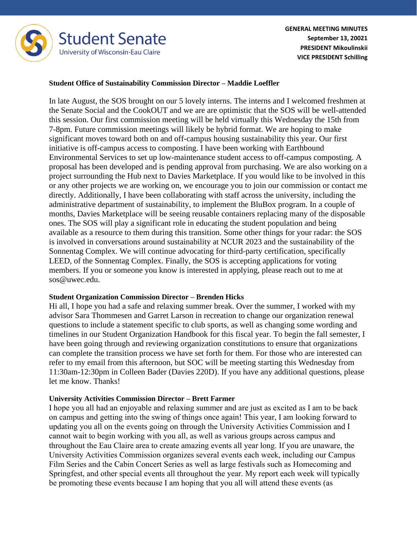

### **Student Office of Sustainability Commission Director – Maddie Loeffler**

In late August, the SOS brought on our 5 lovely interns. The interns and I welcomed freshmen at the Senate Social and the CookOUT and we are are optimistic that the SOS will be well-attended this session. Our first commission meeting will be held virtually this Wednesday the 15th from 7-8pm. Future commission meetings will likely be hybrid format. We are hoping to make significant moves toward both on and off-campus housing sustainability this year. Our first initiative is off-campus access to composting. I have been working with Earthbound Environmental Services to set up low-maintenance student access to off-campus composting. A proposal has been developed and is pending approval from purchasing. We are also working on a project surrounding the Hub next to Davies Marketplace. If you would like to be involved in this or any other projects we are working on, we encourage you to join our commission or contact me directly. Additionally, I have been collaborating with staff across the university, including the administrative department of sustainability, to implement the BluBox program. In a couple of months, Davies Marketplace will be seeing reusable containers replacing many of the disposable ones. The SOS will play a significant role in educating the student population and being available as a resource to them during this transition. Some other things for your radar: the SOS is involved in conversations around sustainability at NCUR 2023 and the sustainability of the Sonnentag Complex. We will continue advocating for third-party certification, specifically LEED, of the Sonnentag Complex. Finally, the SOS is accepting applications for voting members. If you or someone you know is interested in applying, please reach out to me at sos@uwec.edu.

#### **Student Organization Commission Director – Brenden Hicks**

Hi all, I hope you had a safe and relaxing summer break. Over the summer, I worked with my advisor Sara Thommesen and Garret Larson in recreation to change our organization renewal questions to include a statement specific to club sports, as well as changing some wording and timelines in our Student Organization Handbook for this fiscal year. To begin the fall semester, I have been going through and reviewing organization constitutions to ensure that organizations can complete the transition process we have set forth for them. For those who are interested can refer to my email from this afternoon, but SOC will be meeting starting this Wednesday from 11:30am-12:30pm in Colleen Bader (Davies 220D). If you have any additional questions, please let me know. Thanks!

### **University Activities Commission Director – Brett Farmer**

I hope you all had an enjoyable and relaxing summer and are just as excited as I am to be back on campus and getting into the swing of things once again! This year, I am looking forward to updating you all on the events going on through the University Activities Commission and I cannot wait to begin working with you all, as well as various groups across campus and throughout the Eau Claire area to create amazing events all year long. If you are unaware, the University Activities Commission organizes several events each week, including our Campus Film Series and the Cabin Concert Series as well as large festivals such as Homecoming and Springfest, and other special events all throughout the year. My report each week will typically be promoting these events because I am hoping that you all will attend these events (as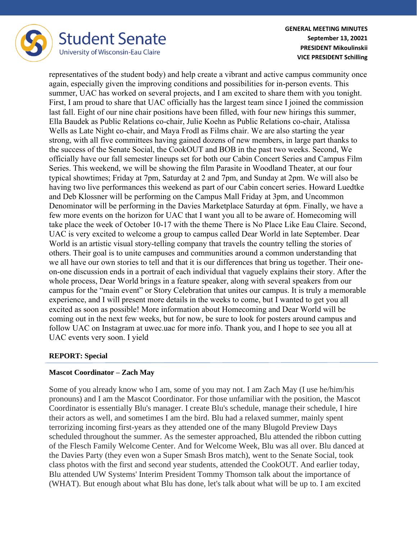

representatives of the student body) and help create a vibrant and active campus community once again, especially given the improving conditions and possibilities for in-person events. This summer, UAC has worked on several projects, and I am excited to share them with you tonight. First, I am proud to share that UAC officially has the largest team since I joined the commission last fall. Eight of our nine chair positions have been filled, with four new hirings this summer, Ella Baudek as Public Relations co-chair, Julie Koehn as Public Relations co-chair, Atalissa Wells as Late Night co-chair, and Maya Frodl as Films chair. We are also starting the year strong, with all five committees having gained dozens of new members, in large part thanks to the success of the Senate Social, the CookOUT and BOB in the past two weeks. Second, We officially have our fall semester lineups set for both our Cabin Concert Series and Campus Film Series. This weekend, we will be showing the film Parasite in Woodland Theater, at our four typical showtimes; Friday at 7pm, Saturday at 2 and 7pm, and Sunday at 2pm. We will also be having two live performances this weekend as part of our Cabin concert series. Howard Luedtke and Deb Klossner will be performing on the Campus Mall Friday at 3pm, and Uncommon Denominator will be performing in the Davies Marketplace Saturday at 6pm. Finally, we have a few more events on the horizon for UAC that I want you all to be aware of. Homecoming will take place the week of October 10-17 with the theme There is No Place Like Eau Claire. Second, UAC is very excited to welcome a group to campus called Dear World in late September. Dear World is an artistic visual story-telling company that travels the country telling the stories of others. Their goal is to unite campuses and communities around a common understanding that we all have our own stories to tell and that it is our differences that bring us together. Their oneon-one discussion ends in a portrait of each individual that vaguely explains their story. After the whole process, Dear World brings in a feature speaker, along with several speakers from our campus for the "main event" or Story Celebration that unites our campus. It is truly a memorable experience, and I will present more details in the weeks to come, but I wanted to get you all excited as soon as possible! More information about Homecoming and Dear World will be coming out in the next few weeks, but for now, be sure to look for posters around campus and follow UAC on Instagram at uwec.uac for more info. Thank you, and I hope to see you all at UAC events very soon. I yield

# **REPORT: Special**

# **Mascot Coordinator – Zach May**

Some of you already know who I am, some of you may not. I am Zach May (I use he/him/his pronouns) and I am the Mascot Coordinator. For those unfamiliar with the position, the Mascot Coordinator is essentially Blu's manager. I create Blu's schedule, manage their schedule, I hire their actors as well, and sometimes I am the bird. Blu had a relaxed summer, mainly spent terrorizing incoming first-years as they attended one of the many Blugold Preview Days scheduled throughout the summer. As the semester approached, Blu attended the ribbon cutting of the Flesch Family Welcome Center. And for Welcome Week, Blu was all over. Blu danced at the Davies Party (they even won a Super Smash Bros match), went to the Senate Social, took class photos with the first and second year students, attended the CookOUT. And earlier today, Blu attended UW Systems' Interim President Tommy Thomson talk about the importance of (WHAT). But enough about what Blu has done, let's talk about what will be up to. I am excited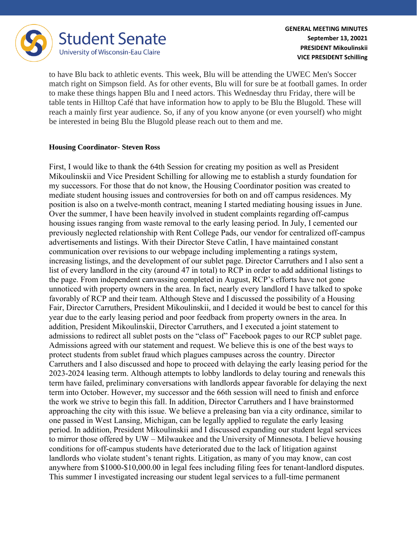

to have Blu back to athletic events. This week, Blu will be attending the UWEC Men's Soccer match right on Simpson field. As for other events, Blu will for sure be at football games. In order to make these things happen Blu and I need actors. This Wednesday thru Friday, there will be table tents in Hilltop Café that have information how to apply to be Blu the Blugold. These will reach a mainly first year audience. So, if any of you know anyone (or even yourself) who might be interested in being Blu the Blugold please reach out to them and me.

### **Housing Coordinator- Steven Ross**

First, I would like to thank the 64th Session for creating my position as well as President Mikoulinskii and Vice President Schilling for allowing me to establish a sturdy foundation for my successors. For those that do not know, the Housing Coordinator position was created to mediate student housing issues and controversies for both on and off campus residences. My position is also on a twelve-month contract, meaning I started mediating housing issues in June. Over the summer, I have been heavily involved in student complaints regarding off-campus housing issues ranging from waste removal to the early leasing period. In July, I cemented our previously neglected relationship with Rent College Pads, our vendor for centralized off-campus advertisements and listings. With their Director Steve Catlin, I have maintained constant communication over revisions to our webpage including implementing a ratings system, increasing listings, and the development of our sublet page. Director Carruthers and I also sent a list of every landlord in the city (around 47 in total) to RCP in order to add additional listings to the page. From independent canvassing completed in August, RCP's efforts have not gone unnoticed with property owners in the area. In fact, nearly every landlord I have talked to spoke favorably of RCP and their team. Although Steve and I discussed the possibility of a Housing Fair, Director Carruthers, President Mikoulinskii, and I decided it would be best to cancel for this year due to the early leasing period and poor feedback from property owners in the area. In addition, President Mikoulinskii, Director Carruthers, and I executed a joint statement to admissions to redirect all sublet posts on the "class of" Facebook pages to our RCP sublet page. Admissions agreed with our statement and request. We believe this is one of the best ways to protect students from sublet fraud which plagues campuses across the country. Director Carruthers and I also discussed and hope to proceed with delaying the early leasing period for the 2023-2024 leasing term. Although attempts to lobby landlords to delay touring and renewals this term have failed, preliminary conversations with landlords appear favorable for delaying the next term into October. However, my successor and the 66th session will need to finish and enforce the work we strive to begin this fall. In addition, Director Carruthers and I have brainstormed approaching the city with this issue. We believe a preleasing ban via a city ordinance, similar to one passed in West Lansing, Michigan, can be legally applied to regulate the early leasing period. In addition, President Mikoulinskii and I discussed expanding our student legal services to mirror those offered by UW – Milwaukee and the University of Minnesota. I believe housing conditions for off-campus students have deteriorated due to the lack of litigation against landlords who violate student's tenant rights. Litigation, as many of you may know, can cost anywhere from \$1000-\$10,000.00 in legal fees including filing fees for tenant-landlord disputes. This summer I investigated increasing our student legal services to a full-time permanent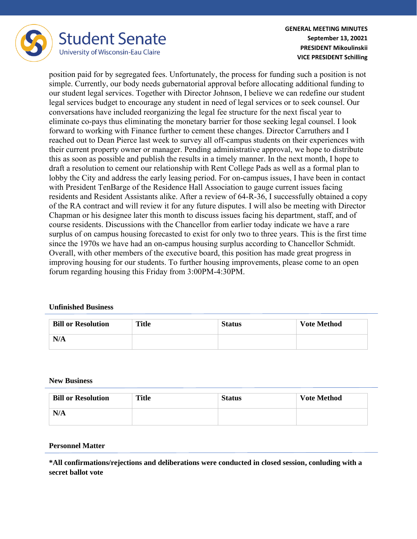

position paid for by segregated fees. Unfortunately, the process for funding such a position is not simple. Currently, our body needs gubernatorial approval before allocating additional funding to our student legal services. Together with Director Johnson, I believe we can redefine our student legal services budget to encourage any student in need of legal services or to seek counsel. Our conversations have included reorganizing the legal fee structure for the next fiscal year to eliminate co-pays thus eliminating the monetary barrier for those seeking legal counsel. I look forward to working with Finance further to cement these changes. Director Carruthers and I reached out to Dean Pierce last week to survey all off-campus students on their experiences with their current property owner or manager. Pending administrative approval, we hope to distribute this as soon as possible and publish the results in a timely manner. In the next month, I hope to draft a resolution to cement our relationship with Rent College Pads as well as a formal plan to lobby the City and address the early leasing period. For on-campus issues, I have been in contact with President TenBarge of the Residence Hall Association to gauge current issues facing residents and Resident Assistants alike. After a review of 64-R-36, I successfully obtained a copy of the RA contract and will review it for any future disputes. I will also be meeting with Director Chapman or his designee later this month to discuss issues facing his department, staff, and of course residents. Discussions with the Chancellor from earlier today indicate we have a rare surplus of on campus housing forecasted to exist for only two to three years. This is the first time since the 1970s we have had an on-campus housing surplus according to Chancellor Schmidt. Overall, with other members of the executive board, this position has made great progress in improving housing for our students. To further housing improvements, please come to an open forum regarding housing this Friday from 3:00PM-4:30PM.

### **Unfinished Business**

| <b>Bill or Resolution</b> | <b>Title</b> | <b>Status</b> | <b>Vote Method</b> |
|---------------------------|--------------|---------------|--------------------|
| N/A                       |              |               |                    |

#### **New Business**

| <b>Bill or Resolution</b> | Title | <b>Status</b> | <b>Vote Method</b> |
|---------------------------|-------|---------------|--------------------|
| N/A                       |       |               |                    |

### **Personnel Matter**

**\*All confirmations/rejections and deliberations were conducted in closed session, conluding with a secret ballot vote**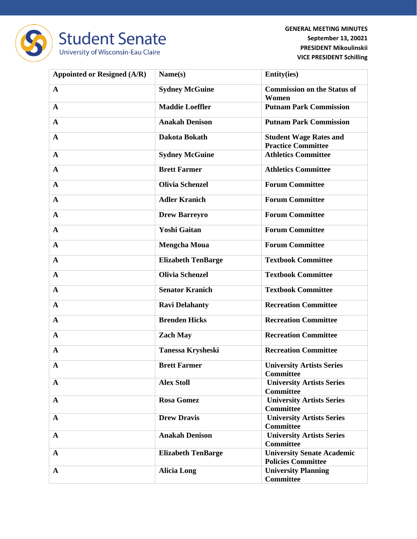

| <b>Appointed or Resigned (A/R)</b> | Name(s)                   | <b>Entity(ies)</b>                                             |
|------------------------------------|---------------------------|----------------------------------------------------------------|
| $\mathbf{A}$                       | <b>Sydney McGuine</b>     | <b>Commission on the Status of</b><br>Women                    |
| $\mathbf{A}$                       | <b>Maddie Loeffler</b>    | <b>Putnam Park Commission</b>                                  |
| $\mathbf{A}$                       | <b>Anakah Denison</b>     | <b>Putnam Park Commission</b>                                  |
| $\mathbf{A}$                       | Dakota Bokath             | <b>Student Wage Rates and</b><br><b>Practice Committee</b>     |
| $\mathbf{A}$                       | <b>Sydney McGuine</b>     | <b>Athletics Committee</b>                                     |
| $\mathbf{A}$                       | <b>Brett Farmer</b>       | <b>Athletics Committee</b>                                     |
| $\mathbf{A}$                       | <b>Olivia Schenzel</b>    | <b>Forum Committee</b>                                         |
| $\mathbf{A}$                       | <b>Adler Kranich</b>      | <b>Forum Committee</b>                                         |
| $\mathbf{A}$                       | <b>Drew Barreyro</b>      | <b>Forum Committee</b>                                         |
| $\mathbf{A}$                       | <b>Yoshi Gaitan</b>       | <b>Forum Committee</b>                                         |
| $\mathbf{A}$                       | <b>Mengcha Moua</b>       | <b>Forum Committee</b>                                         |
| $\mathbf{A}$                       | <b>Elizabeth TenBarge</b> | <b>Textbook Committee</b>                                      |
| $\mathbf{A}$                       | <b>Olivia Schenzel</b>    | <b>Textbook Committee</b>                                      |
| $\mathbf{A}$                       | <b>Senator Kranich</b>    | <b>Textbook Committee</b>                                      |
| $\mathbf{A}$                       | <b>Ravi Delahanty</b>     | <b>Recreation Committee</b>                                    |
| $\mathbf{A}$                       | <b>Brenden Hicks</b>      | <b>Recreation Committee</b>                                    |
| $\mathbf{A}$                       | <b>Zach May</b>           | <b>Recreation Committee</b>                                    |
| $\mathbf{A}$                       | <b>Tanessa Krysheski</b>  | <b>Recreation Committee</b>                                    |
| $\mathbf A$                        | <b>Brett Farmer</b>       | <b>University Artists Series</b><br><b>Committee</b>           |
| $\mathbf{A}$                       | <b>Alex Stoll</b>         | <b>University Artists Series</b><br><b>Committee</b>           |
| $\mathbf{A}$                       | <b>Rosa Gomez</b>         | <b>University Artists Series</b><br><b>Committee</b>           |
| $\mathbf{A}$                       | <b>Drew Dravis</b>        | <b>University Artists Series</b><br><b>Committee</b>           |
| $\mathbf{A}$                       | <b>Anakah Denison</b>     | <b>University Artists Series</b><br><b>Committee</b>           |
| $\mathbf{A}$                       | <b>Elizabeth TenBarge</b> | <b>University Senate Academic</b><br><b>Policies Committee</b> |
| $\mathbf{A}$                       | <b>Alicia Long</b>        | <b>University Planning</b><br><b>Committee</b>                 |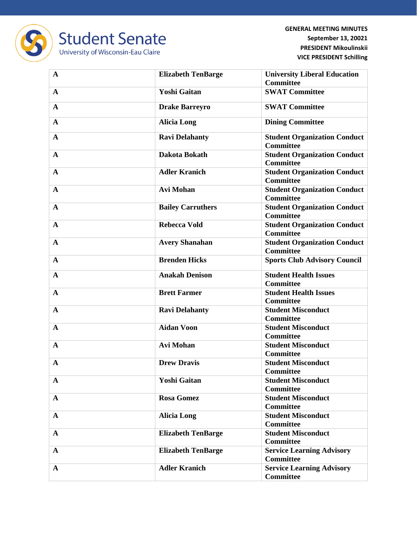

**Student Senate** University of Wisconsin-Eau Claire

| $\mathbf{A}$ | <b>Elizabeth TenBarge</b> | <b>University Liberal Education</b><br><b>Committee</b> |
|--------------|---------------------------|---------------------------------------------------------|
| A            | <b>Yoshi Gaitan</b>       | <b>SWAT Committee</b>                                   |
| $\mathbf{A}$ | <b>Drake Barreyro</b>     | <b>SWAT Committee</b>                                   |
| $\mathbf{A}$ | <b>Alicia Long</b>        | <b>Dining Committee</b>                                 |
| $\mathbf{A}$ | <b>Ravi Delahanty</b>     | <b>Student Organization Conduct</b><br><b>Committee</b> |
| $\mathbf{A}$ | Dakota Bokath             | <b>Student Organization Conduct</b><br><b>Committee</b> |
| $\mathbf{A}$ | <b>Adler Kranich</b>      | <b>Student Organization Conduct</b><br><b>Committee</b> |
| $\mathbf{A}$ | <b>Avi Mohan</b>          | <b>Student Organization Conduct</b><br><b>Committee</b> |
| $\mathbf{A}$ | <b>Bailey Carruthers</b>  | <b>Student Organization Conduct</b><br><b>Committee</b> |
| $\mathbf A$  | <b>Rebecca Vold</b>       | <b>Student Organization Conduct</b><br><b>Committee</b> |
| $\mathbf{A}$ | <b>Avery Shanahan</b>     | <b>Student Organization Conduct</b><br><b>Committee</b> |
| $\mathbf A$  | <b>Brenden Hicks</b>      | <b>Sports Club Advisory Council</b>                     |
| $\mathbf{A}$ | <b>Anakah Denison</b>     | <b>Student Health Issues</b><br><b>Committee</b>        |
| $\mathbf A$  | <b>Brett Farmer</b>       | <b>Student Health Issues</b><br><b>Committee</b>        |
| $\mathbf{A}$ | <b>Ravi Delahanty</b>     | <b>Student Misconduct</b><br><b>Committee</b>           |
| $\mathbf{A}$ | <b>Aidan Voon</b>         | <b>Student Misconduct</b><br><b>Committee</b>           |
| $\mathbf{A}$ | <b>Avi Mohan</b>          | <b>Student Misconduct</b><br><b>Committee</b>           |
| $\mathbf A$  | <b>Drew Dravis</b>        | <b>Student Misconduct</b><br><b>Committee</b>           |
| $\mathbf A$  | Yoshi Gaitan              | <b>Student Misconduct</b><br><b>Committee</b>           |
| $\mathbf{A}$ | <b>Rosa Gomez</b>         | <b>Student Misconduct</b><br><b>Committee</b>           |
| $\mathbf{A}$ | <b>Alicia Long</b>        | <b>Student Misconduct</b><br><b>Committee</b>           |
| $\mathbf{A}$ | <b>Elizabeth TenBarge</b> | <b>Student Misconduct</b><br><b>Committee</b>           |
| $\mathbf{A}$ | <b>Elizabeth TenBarge</b> | <b>Service Learning Advisory</b><br><b>Committee</b>    |
| $\mathbf{A}$ | <b>Adler Kranich</b>      | <b>Service Learning Advisory</b><br><b>Committee</b>    |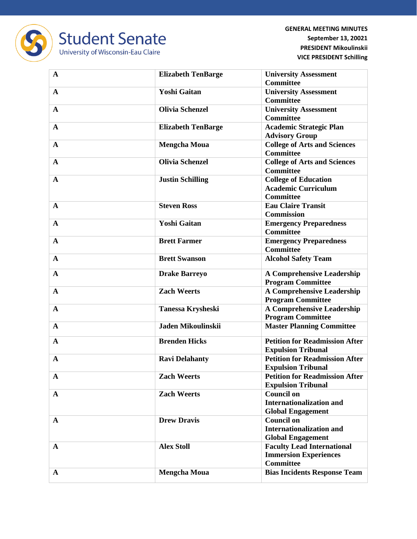

| $\mathbf{A}$ | <b>Elizabeth TenBarge</b> | <b>University Assessment</b>          |
|--------------|---------------------------|---------------------------------------|
|              |                           | <b>Committee</b>                      |
| $\mathbf{A}$ | <b>Yoshi Gaitan</b>       | <b>University Assessment</b>          |
|              |                           | <b>Committee</b>                      |
| A            | <b>Olivia Schenzel</b>    | <b>University Assessment</b>          |
|              |                           | <b>Committee</b>                      |
| $\mathbf{A}$ | <b>Elizabeth TenBarge</b> | <b>Academic Strategic Plan</b>        |
|              |                           | <b>Advisory Group</b>                 |
| $\mathbf{A}$ | <b>Mengcha Moua</b>       | <b>College of Arts and Sciences</b>   |
|              |                           | <b>Committee</b>                      |
| $\mathbf{A}$ | <b>Olivia Schenzel</b>    | <b>College of Arts and Sciences</b>   |
|              |                           | <b>Committee</b>                      |
| $\mathbf{A}$ | <b>Justin Schilling</b>   | <b>College of Education</b>           |
|              |                           | <b>Academic Curriculum</b>            |
|              |                           | <b>Committee</b>                      |
| $\mathbf{A}$ | <b>Steven Ross</b>        | <b>Eau Claire Transit</b>             |
|              |                           | <b>Commission</b>                     |
| $\mathbf A$  | <b>Yoshi Gaitan</b>       | <b>Emergency Preparedness</b>         |
|              |                           | <b>Committee</b>                      |
| $\mathbf{A}$ | <b>Brett Farmer</b>       | <b>Emergency Preparedness</b>         |
|              |                           | <b>Committee</b>                      |
| $\mathbf{A}$ | <b>Brett Swanson</b>      | <b>Alcohol Safety Team</b>            |
|              |                           |                                       |
| $\mathbf{A}$ | <b>Drake Barreyo</b>      | <b>A Comprehensive Leadership</b>     |
|              |                           | <b>Program Committee</b>              |
| $\mathbf{A}$ | <b>Zach Weerts</b>        | <b>A Comprehensive Leadership</b>     |
|              |                           | <b>Program Committee</b>              |
| $\mathbf A$  | <b>Tanessa Krysheski</b>  | <b>A Comprehensive Leadership</b>     |
|              |                           | <b>Program Committee</b>              |
| $\mathbf{A}$ | Jaden Mikoulinskii        | <b>Master Planning Committee</b>      |
| $\mathbf{A}$ | <b>Brenden Hicks</b>      | <b>Petition for Readmission After</b> |
|              |                           | <b>Expulsion Tribunal</b>             |
| $\mathbf{A}$ | <b>Ravi Delahanty</b>     | <b>Petition for Readmission After</b> |
|              |                           | <b>Expulsion Tribunal</b>             |
| $\mathbf{A}$ | <b>Zach Weerts</b>        | <b>Petition for Readmission After</b> |
|              |                           | <b>Expulsion Tribunal</b>             |
| $\mathbf{A}$ | <b>Zach Weerts</b>        | <b>Council on</b>                     |
|              |                           | <b>Internationalization and</b>       |
|              |                           | <b>Global Engagement</b>              |
| $\mathbf{A}$ | <b>Drew Dravis</b>        | <b>Council on</b>                     |
|              |                           | <b>Internationalization and</b>       |
|              |                           | <b>Global Engagement</b>              |
| $\mathbf{A}$ | <b>Alex Stoll</b>         | <b>Faculty Lead International</b>     |
|              |                           | <b>Immersion Experiences</b>          |
|              |                           | <b>Committee</b>                      |
| A            | <b>Mengcha Moua</b>       | <b>Bias Incidents Response Team</b>   |
|              |                           |                                       |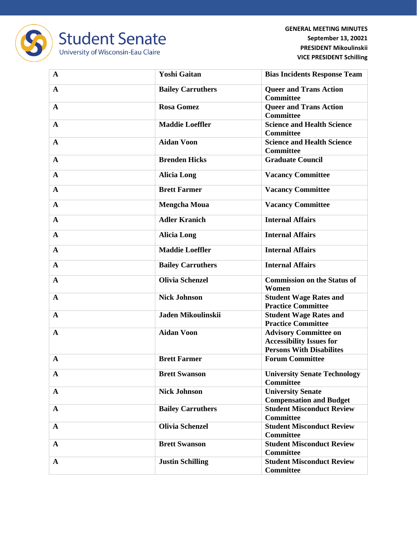

| $\mathbf{A}$ | <b>Yoshi Gaitan</b>      | <b>Bias Incidents Response Team</b>                                                                |
|--------------|--------------------------|----------------------------------------------------------------------------------------------------|
| $\mathbf{A}$ | <b>Bailey Carruthers</b> | <b>Queer and Trans Action</b><br><b>Committee</b>                                                  |
| $\mathbf{A}$ | <b>Rosa Gomez</b>        | <b>Queer and Trans Action</b><br><b>Committee</b>                                                  |
| $\mathbf{A}$ | <b>Maddie Loeffler</b>   | <b>Science and Health Science</b><br><b>Committee</b>                                              |
| $\mathbf{A}$ | <b>Aidan Voon</b>        | <b>Science and Health Science</b><br><b>Committee</b>                                              |
| $\mathbf{A}$ | <b>Brenden Hicks</b>     | <b>Graduate Council</b>                                                                            |
| $\mathbf{A}$ | <b>Alicia Long</b>       | <b>Vacancy Committee</b>                                                                           |
| $\mathbf{A}$ | <b>Brett Farmer</b>      | <b>Vacancy Committee</b>                                                                           |
| $\mathbf{A}$ | <b>Mengcha Moua</b>      | <b>Vacancy Committee</b>                                                                           |
| $\mathbf{A}$ | <b>Adler Kranich</b>     | <b>Internal Affairs</b>                                                                            |
| $\mathbf{A}$ | <b>Alicia Long</b>       | <b>Internal Affairs</b>                                                                            |
| $\mathbf{A}$ | <b>Maddie Loeffler</b>   | <b>Internal Affairs</b>                                                                            |
| $\mathbf{A}$ | <b>Bailey Carruthers</b> | <b>Internal Affairs</b>                                                                            |
| $\mathbf{A}$ | <b>Olivia Schenzel</b>   | <b>Commission on the Status of</b><br>Women                                                        |
| $\mathbf{A}$ | <b>Nick Johnson</b>      | <b>Student Wage Rates and</b><br><b>Practice Committee</b>                                         |
| $\mathbf{A}$ | Jaden Mikoulinskii       | <b>Student Wage Rates and</b><br><b>Practice Committee</b>                                         |
| $\mathbf{A}$ | <b>Aidan Voon</b>        | <b>Advisory Committee on</b><br><b>Accessibility Issues for</b><br><b>Persons With Disabilites</b> |
| $\mathbf{A}$ | <b>Brett Farmer</b>      | <b>Forum Committee</b>                                                                             |
| $\mathbf A$  | <b>Brett Swanson</b>     | <b>University Senate Technology</b><br><b>Committee</b>                                            |
| $\mathbf{A}$ | <b>Nick Johnson</b>      | <b>University Senate</b><br><b>Compensation and Budget</b>                                         |
| $\mathbf{A}$ | <b>Bailey Carruthers</b> | <b>Student Misconduct Review</b><br><b>Committee</b>                                               |
| $\mathbf{A}$ | <b>Olivia Schenzel</b>   | <b>Student Misconduct Review</b><br><b>Committee</b>                                               |
| $\mathbf{A}$ | <b>Brett Swanson</b>     | <b>Student Misconduct Review</b><br><b>Committee</b>                                               |
| $\mathbf{A}$ | <b>Justin Schilling</b>  | <b>Student Misconduct Review</b><br><b>Committee</b>                                               |